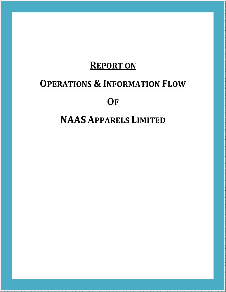# **REPORT ON**

# **OPERATIONS & INFORMATION FLOW**

# **OF**

# **NAAS APPARELS LIMITED**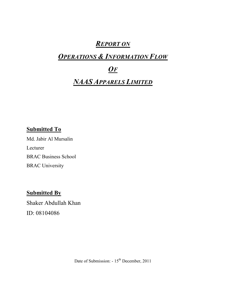## *REPORT ON*

## *OPERATIONS & INFORMATION FLOW*

## *OF*

## *NAAS APPARELS LIMITED*

## **Submitted To**

Md. Jabir Al Mursalin Lecturer BRAC Business School BRAC University

## **Submitted By**

Shaker Abdullah Khan ID: 08104086

Date of Submission: -  $15<sup>th</sup>$  December, 2011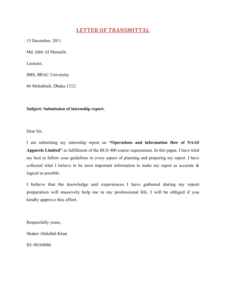## **LETTER OF TRANSMITTAL**

15 December, 2011

Md. Jabir Al Mursalin

Lecturer,

BBS, BRAC University

66 Mohakhali, Dhaka-1212.

**Subject: Submission of internship report.** 

Dear Sir,

I am submitting my internship report on **"Operations and information flow of NAAS Apparels Limited"** as fulfillment of the BUS 400 course requirement. In this paper, I have tried my best to follow your guidelines in every aspect of planning and preparing my report. I have collected what I believe to be most important information to make my report as accurate & logical as possible.

I believe that the knowledge and experiences I have gathered during my report preparation will massively help me in my professional life. I will be obliged if you kindly approve this effort.

Respectfully yours,

Shaker Abdullah Khan

ID: 08104086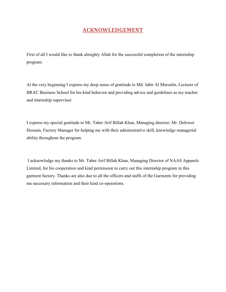## **ACKNOWLEDGEMENT**

First of all I would like to thank almighty Allah for the successful completion of the internship program.

At the very beginning I express my deep sense of gratitude to Md. Jabir Al Mursalin, Lecturer of BRAC Business School for his kind behavior and providing advice and guidelines as my teacher and internship supervisor.

I express my special gratitude to Mr. Taher Arif Billah Khan, Managing director; Mr. Delower Hossain, Factory Manager for helping me with their administrative skill, knowledge managerial ability throughout the program.

 I acknowledge my thanks to Mr. Taher Arif Billah Khan, Managing Director of NAAS Apparels Limited, for his cooperation and kind permission to carry out this internship program in this garment factory. Thanks are also due to all the officers and staffs of the Garments for providing me necessary information and their kind co-operations.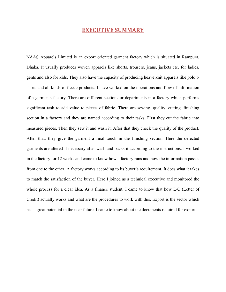### **EXECUTIVE SUMMARY**

NAAS Apparels Limited is an export oriented garment factory which is situated in Rampura, Dhaka. It usually produces woven apparels like shorts, trousers, jeans, jackets etc. for ladies, gents and also for kids. They also have the capacity of producing heave knit apparels like polo tshirts and all kinds of fleece products. I have worked on the operations and flow of information of a garments factory. There are different sections or departments in a factory which performs significant task to add value to pieces of fabric. There are sewing, quality, cutting, finishing section in a factory and they are named according to their tasks. First they cut the fabric into measured pieces. Then they sew it and wash it. After that they check the quality of the product. After that, they give the garment a final touch in the finishing section. Here the defected garments are altered if necessary after wash and packs it according to the instructions. I worked in the factory for 12 weeks and came to know how a factory runs and how the information passes from one to the other. A factory works according to its buyer's requirement. It does what it takes to match the satisfaction of the buyer. Here I joined as a technical executive and monitored the whole process for a clear idea. As a finance student, I came to know that how L/C (Letter of Credit) actually works and what are the procedures to work with this. Export is the sector which has a great potential in the near future. I came to know about the documents required for export.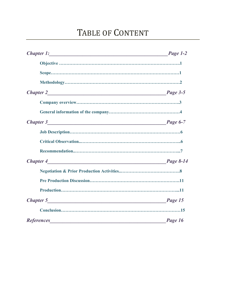# TABLE OF CONTENT

| Chapter 1: Page 1-2 |         |
|---------------------|---------|
|                     |         |
|                     |         |
|                     |         |
|                     |         |
|                     |         |
|                     |         |
|                     |         |
|                     |         |
|                     |         |
|                     |         |
|                     |         |
|                     |         |
|                     |         |
|                     |         |
|                     |         |
|                     |         |
|                     | Page 16 |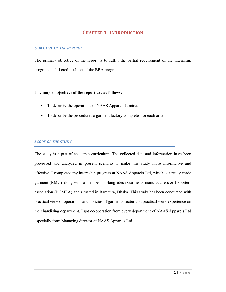## **CHAPTER 1: INTRODUCTION**

#### *OBJECTIVE OF THE REPORT:*

The primary objective of the report is to fulfill the partial requirement of the internship program as full credit subject of the BBA program.

#### **The major objectives of the report are as follows:**

- To describe the operations of NAAS Apparels Limited
- To describe the procedures a garment factory completes for each order.

#### *SCOPE OF THE STUDY*

The study is a part of academic curriculum. The collected data and information have been processed and analyzed in present scenario to make this study more informative and effective. I completed my internship program at NAAS Apparels Ltd, which is a ready-made garment (RMG) along with a member of Bangladesh Garments manufacturers & Exporters association (BGMEA) and situated in Rampura, Dhaka. This study has been conducted with practical view of operations and policies of garments sector and practical work experience on merchandising department. I got co-operation from every department of NAAS Apparels Ltd especially from Managing director of NAAS Apparels Ltd.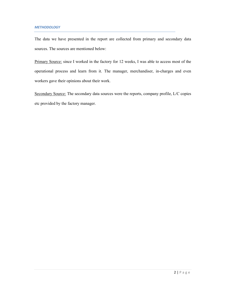The data we have presented in the report are collected from primary and secondary data sources. The sources are mentioned below:

Primary Source: since I worked in the factory for 12 weeks, I was able to access most of the operational process and learn from it. The manager, merchandiser, in-charges and even workers gave their opinions about their work.

Secondary Source: The secondary data sources were the reports, company profile, L/C copies etc provided by the factory manager.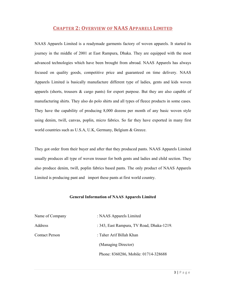### **CHAPTER 2: OVERVIEW OF NAAS APPARELS LIMITED**

NAAS Apparels Limited is a readymade garments factory of woven apparels. It started its journey in the middle of 2001 at East Rampura, Dhaka. They are equipped with the most advanced technologies which have been brought from abroad. NAAS Apparels has always focused on quality goods, competitive price and guaranteed on time delivery. NAAS Apparels Limited is basically manufacture different type of ladies, gents and kids woven apparels (shorts, trousers  $\&$  cargo pants) for export purpose. But they are also capable of manufacturing shirts. They also do polo shirts and all types of fleece products in some cases. They have the capability of producing 8,000 dozens per month of any basic woven style using denim, twill, canvas, poplin, micro fabrics. So far they have exported in many first world countries such as U.S.A, U.K, Germany, Belgium & Greece.

They got order from their buyer and after that they produced pants. NAAS Apparels Limited usually produces all type of woven trouser for both gents and ladies and child section. They also produce denim, twill, poplin fabrics based pants. The only product of NAAS Apparels Limited is producing pant and import these pants at first world country.

#### **General Information of NAAS Apparels Limited**

| Name of Company       | : NAAS Apparels Limited                   |
|-----------------------|-------------------------------------------|
| Address               | : 343, East Rampura, TV Road, Dhaka-1219. |
| <b>Contact Person</b> | : Taher Arif Billah Khan                  |
|                       | (Managing Director)                       |
|                       | Phone: 8360286, Mobile: 01714-328688      |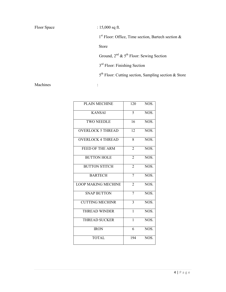| Floor Space |  |
|-------------|--|
|-------------|--|

:  $15,000$  sq ft. 1 st Floor: Office, Time section, Bartech section & Store Ground,  $2^{nd}$  &  $5^{th}$  Floor: Sewing Section 3<sup>rd</sup> Floor: Finishing Section 5<sup>th</sup> Floor: Cutting section, Sampling section & Store

Machines :

| <b>PLAIN MECHINE</b>       | 120            | NOS. |
|----------------------------|----------------|------|
| <b>KANSAI</b>              | 5              | NOS. |
| <b>TWO NEEDLE</b>          | 16             | NOS. |
| <b>OVERLOCK 5 THREAD</b>   | 12             | NOS. |
| <b>OVERLOCK 4 THREAD</b>   | 8              | NOS. |
| FEED OF THE ARM            | $\overline{2}$ | NOS. |
| <b>BUTTON HOLE</b>         | $\overline{2}$ | NOS. |
| <b>BUTTON STITCH</b>       | $\overline{2}$ | NOS. |
| <b>BARTECH</b>             | 7              | NOS. |
| <b>LOOP MAKING MECHINE</b> | $\overline{2}$ | NOS. |
| <b>SNAP BUTTON</b>         | 7              | NOS. |
| <b>CUTTING MECHINR</b>     | 3              | NOS. |
| <b>THREAD WINDER</b>       | $\overline{1}$ | NOS. |
| <b>THREAD SUCKER</b>       | $\mathbf{1}$   | NOS. |
| <b>IRON</b>                | 6              | NOS. |
| <b>TOTAL</b>               | 194            | NOS. |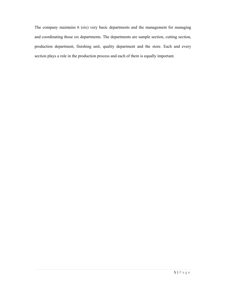The company maintains 6 (six) very basic departments and the management for managing and coordinating those six departments. The departments are sample section, cutting section, production department, finishing unit, quality department and the store. Each and every section plays a role in the production process and each of them is equally important.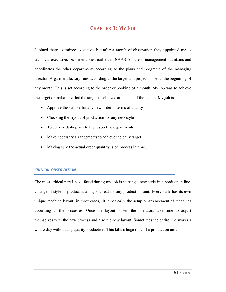### **CHAPTER 3: MY JOB**

I joined there as trainee executive, but after a month of observation they appointed me as technical executive. As I mentioned earlier, in NAAS Apparels, management maintains and coordinates the other departments according to the plans and programs of the managing director. A garment factory runs according to the target and projection set at the beginning of any month. This is set according to the order or booking of a month. My job was to achieve the target or make sure that the target is achieved at the end of the month. My job is

- Approve the sample for any new order in terms of quality
- Checking the layout of production for any new style
- To convey daily plans to the respective departments
- Make necessary arrangements to achieve the daily target
- Making sure the actual order quantity is on process in time.

#### *CRITICAL OBSERVATION*

The most critical part I have faced during my job is starting a new style in a production line. Change of style or product is a major threat for any production unit. Every style has its own unique machine layout (in most cases). It is basically the setup or arrangement of machines according to the processes. Once the layout is set, the operators take time to adjust themselves with the new process and also the new layout. Sometimes the entire line works a whole day without any quality production. This kills a huge time of a production unit.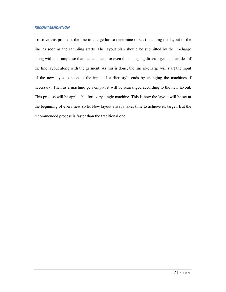#### *RECOMMENDATION*

To solve this problem, the line in-charge has to determine or start planning the layout of the line as soon as the sampling starts. The layout plan should be submitted by the in-charge along with the sample so that the technician or even the managing director gets a clear idea of the line layout along with the garment. As this is done, the line in-charge will start the input of the new style as soon as the input of earlier style ends by changing the machines if necessary. Then as a machine gets empty, it will be rearranged according to the new layout. This process will be applicable for every single machine. This is how the layout will be set at the beginning of every new style. New layout always takes time to achieve its target. But the recommended process is faster than the traditional one.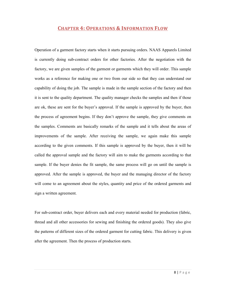### **CHAPTER 4: OPERATIONS & INFORMATION FLOW**

Operation of a garment factory starts when it starts pursuing orders. NAAS Apparels Limited is currently doing sub-contract orders for other factories. After the negotiation with the factory, we are given samples of the garment or garments which they will order. This sample works as a reference for making one or two from our side so that they can understand our capability of doing the job. The sample is made in the sample section of the factory and then it is sent to the quality department. The quality manager checks the samples and then if those are ok, these are sent for the buyer's approval. If the sample is approved by the buyer, then the process of agreement begins. If they don't approve the sample, they give comments on the samples. Comments are basically remarks of the sample and it tells about the areas of improvements of the sample. After receiving the sample, we again make this sample according to the given comments. If this sample is approved by the buyer, then it will be called the approval sample and the factory will aim to make the garments according to that sample. If the buyer denies the fit sample, the same process will go on until the sample is approved. After the sample is approved, the buyer and the managing director of the factory will come to an agreement about the styles, quantity and price of the ordered garments and sign a written agreement.

For sub-contract order, buyer delivers each and every material needed for production (fabric, thread and all other accessories for sewing and finishing the ordered goods). They also give the patterns of different sizes of the ordered garment for cutting fabric. This delivery is given after the agreement. Then the process of production starts.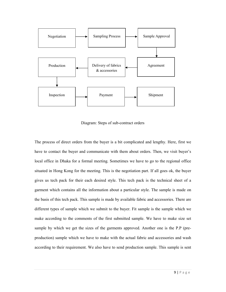

Diagram: Steps of sub-contract orders

The process of direct orders from the buyer is a bit complicated and lengthy. Here, first we have to contact the buyer and communicate with them about orders. Then, we visit buyer's local office in Dhaka for a formal meeting. Sometimes we have to go to the regional office situated in Hong Kong for the meeting. This is the negotiation part. If all goes ok, the buyer gives us tech pack for their each desired style. This tech pack is the technical sheet of a garment which contains all the information about a particular style. The sample is made on the basis of this tech pack. This sample is made by available fabric and accessories. There are different types of sample which we submit to the buyer. Fit sample is the sample which we make according to the comments of the first submitted sample. We have to make size set sample by which we get the sizes of the garments approved. Another one is the P.P (preproduction) sample which we have to make with the actual fabric and accessories and wash according to their requirement. We also have to send production sample. This sample is sent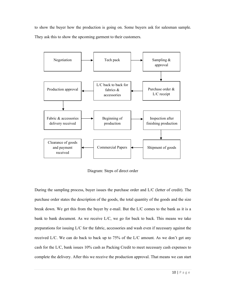to show the buyer how the production is going on. Some buyers ask for salesman sample. They ask this to show the upcoming garment to their customers.



Diagram: Steps of direct order

During the sampling process, buyer issues the purchase order and L/C (letter of credit). The purchase order states the description of the goods, the total quantity of the goods and the size break down. We get this from the buyer by e-mail. But the L/C comes to the bank as it is a bank to bank document. As we receive L/C, we go for back to back. This means we take preparations for issuing L/C for the fabric, accessories and wash even if necessary against the received L/C. We can do back to back up to 75% of the L/C amount. As we don't get any cash for the L/C, bank issues 10% cash as Packing Credit to meet necessary cash expenses to complete the delivery. After this we receive the production approval. That means we can start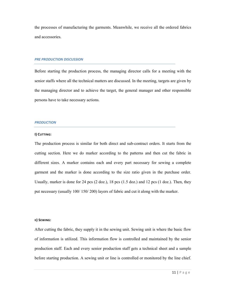the processes of manufacturing the garments. Meanwhile, we receive all the ordered fabrics and accessories.

#### *PRE PRODUCTION DISCUSSION*

Before starting the production process, the managing director calls for a meeting with the senior staffs where all the technical matters are discussed. In the meeting, targets are given by the managing director and to achieve the target, the general manager and other responsible persons have to take necessary actions.

#### *PRODUCTION*

#### **I) CUTTING:**

The production process is similar for both direct and sub-contract orders. It starts from the cutting section. Here we do marker according to the patterns and then cut the fabric in different sizes. A marker contains each and every part necessary for sewing a complete garment and the marker is done according to the size ratio given in the purchase order. Usually, marker is done for 24 pcs  $(2 \text{ doz})$ , 18 pcs  $(1.5 \text{ doz})$  and 12 pcs  $(1 \text{ doz})$ . Then, they put necessary (usually 100/ 150/ 200) layers of fabric and cut it along with the marker.

#### **II) SEWING:**

After cutting the fabric, they supply it in the sewing unit. Sewing unit is where the basic flow of information is utilized. This information flow is controlled and maintained by the senior production staff. Each and every senior production staff gets a technical sheet and a sample before starting production. A sewing unit or line is controlled or monitored by the line chief.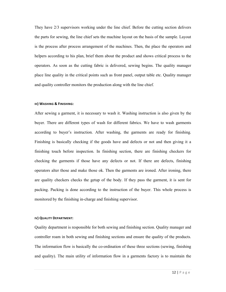They have 2/3 supervisors working under the line chief. Before the cutting section delivers the parts for sewing, the line chief sets the machine layout on the basis of the sample. Layout is the process after process arrangement of the machines. Then, the place the operators and helpers according to his plan, brief them about the product and shows critical process to the operators. As soon as the cutting fabric is delivered, sewing begins. The quality manager place line quality in the critical points such as front panel, output table etc. Quality manager and quality controller monitors the production along with the line chief.

#### **III) WASHING & FINISHING:**

After sewing a garment, it is necessary to wash it. Washing instruction is also given by the buyer. There are different types of wash for different fabrics. We have to wash garments according to buyer's instruction. After washing, the garments are ready for finishing. Finishing is basically checking if the goods have and defects or not and then giving it a finishing touch before inspection. In finishing section, there are finishing checkers for checking the garments if those have any defects or not. If there are defects, finishing operators alter those and make those ok. Then the garments are ironed. After ironing, there are quality checkers checks the getup of the body. If they pass the garment, it is sent for packing. Packing is done according to the instruction of the buyer. This whole process is monitored by the finishing in-charge and finishing supervisor.

#### **IV) QUALITY DEPARTMENT:**

Quality department is responsible for both sewing and finishing section. Quality manager and controller roam in both sewing and finishing sections and ensure the quality of the products. The information flow is basically the co-ordination of these three sections (sewing, finishing and quality). The main utility of information flow in a garments factory is to maintain the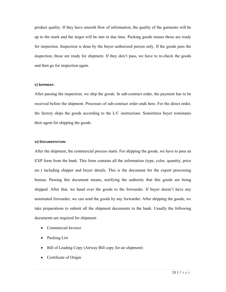product quality. If they have smooth flow of information, the quality of the garments will be up to the mark and the target will be met in due time. Packing goods means those are ready for inspection. Inspection is done by the buyer authorized person only. If the goods pass the inspection, those are ready for shipment. If they don't pass, we have to re-check the goods and then go for inspection again.

#### **V) SHIPMENT:**

After passing the inspection, we ship the goods. In sub-contract order, the payment has to be received before the shipment. Processes of sub-contract order ends here. For the direct order, the factory ships the goods according to the L/C instructions. Sometimes buyer nominates their agent for shipping the goods.

#### **VI) DOCUMENTATION:**

After the shipment, the commercial process starts. For shipping the goods, we have to pass an EXP form from the bank. This form contains all the information (type, color, quantity, price etc.) including shipper and buyer details. This is the document for the export processing bureau. Passing this document means, notifying the authority that this goods are being shipped. After that, we hand over the goods to the forwarder. If buyer doesn't have any nominated forwarder, we can send the goods by any forwarder. After shipping the goods, we take preparations to submit all the shipment documents to the bank. Usually the following documents are required for shipment:

- Commercial Invoice
- Packing List
- Bill of Leading Copy (Airway Bill copy for air shipment)
- Certificate of Origin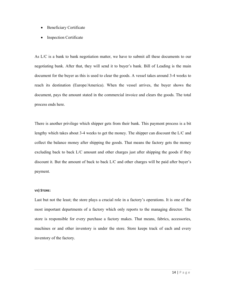- Beneficiary Certificate
- **Inspection Certificate**

As L/C is a bank to bank negotiation matter, we have to submit all these documents to our negotiating bank. After that, they will send it to buyer's bank. Bill of Leading is the main document for the buyer as this is used to clear the goods. A vessel takes around 3-4 weeks to reach its destination (Europe/America). When the vessel arrives, the buyer shows the document, pays the amount stated in the commercial invoice and clears the goods. The total process ends here.

There is another privilege which shipper gets from their bank. This payment process is a bit lengthy which takes about 3-4 weeks to get the money. The shipper can discount the L/C and collect the balance money after shipping the goods. That means the factory gets the money excluding back to back L/C amount and other charges just after shipping the goods if they discount it. But the amount of back to back L/C and other charges will be paid after buyer's payment.

#### **VII) STORE:**

Last but not the least; the store plays a crucial role in a factory's operations. It is one of the most important departments of a factory which only reports to the managing director. The store is responsible for every purchase a factory makes. That means, fabrics, accessories, machines or and other inventory is under the store. Store keeps track of each and every inventory of the factory.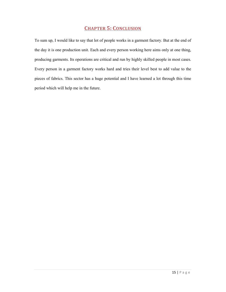## **CHAPTER 5: CONCLUSION**

To sum up, I would like to say that lot of people works in a garment factory. But at the end of the day it is one production unit. Each and every person working here aims only at one thing, producing garments. Its operations are critical and run by highly skilled people in most cases. Every person in a garment factory works hard and tries their level best to add value to the pieces of fabrics. This sector has a huge potential and I have learned a lot through this time period which will help me in the future.